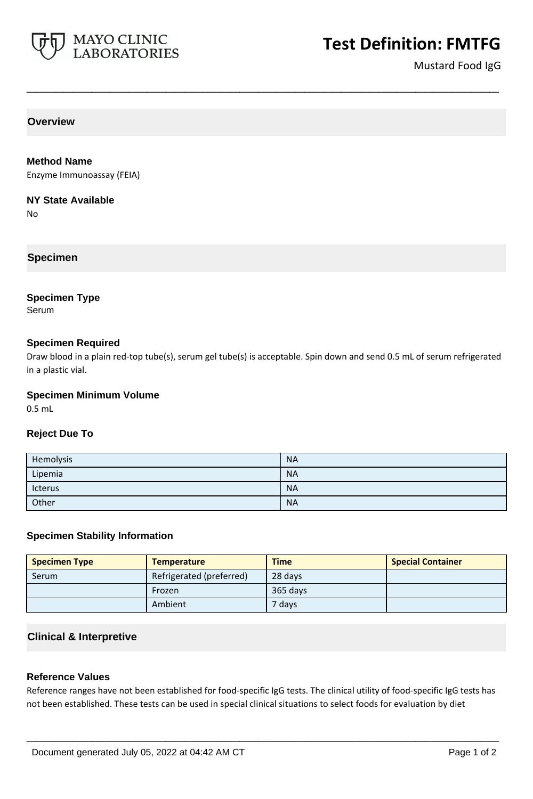

Mustard Food IgG

**Overview**

#### **Method Name**

Enzyme Immunoassay (FEIA)

#### **NY State Available**

No

# **Specimen**

## **Specimen Type**

Serum

## **Specimen Required**

Draw blood in a plain red-top tube(s), serum gel tube(s) is acceptable. Spin down and send 0.5 mL of serum refrigerated in a plastic vial.

**\_\_\_\_\_\_\_\_\_\_\_\_\_\_\_\_\_\_\_\_\_\_\_\_\_\_\_\_\_\_\_\_\_\_\_\_\_\_\_\_\_\_\_\_\_\_\_\_\_\_\_**

#### **Specimen Minimum Volume**

0.5 mL

## **Reject Due To**

| Hemolysis | <b>NA</b> |
|-----------|-----------|
| Lipemia   | <b>NA</b> |
| Icterus   | <b>NA</b> |
| Other     | <b>NA</b> |

## **Specimen Stability Information**

| <b>Specimen Type</b> | <b>Temperature</b>       | <b>Time</b> | <b>Special Container</b> |
|----------------------|--------------------------|-------------|--------------------------|
| Serum                | Refrigerated (preferred) | 28 days     |                          |
|                      | Frozen                   | 365 days    |                          |
|                      | Ambient                  | 7 days      |                          |

## **Clinical & Interpretive**

## **Reference Values**

Reference ranges have not been established for food-specific IgG tests. The clinical utility of food-specific IgG tests has not been established. These tests can be used in special clinical situations to select foods for evaluation by diet

**\_\_\_\_\_\_\_\_\_\_\_\_\_\_\_\_\_\_\_\_\_\_\_\_\_\_\_\_\_\_\_\_\_\_\_\_\_\_\_\_\_\_\_\_\_\_\_\_\_\_\_**